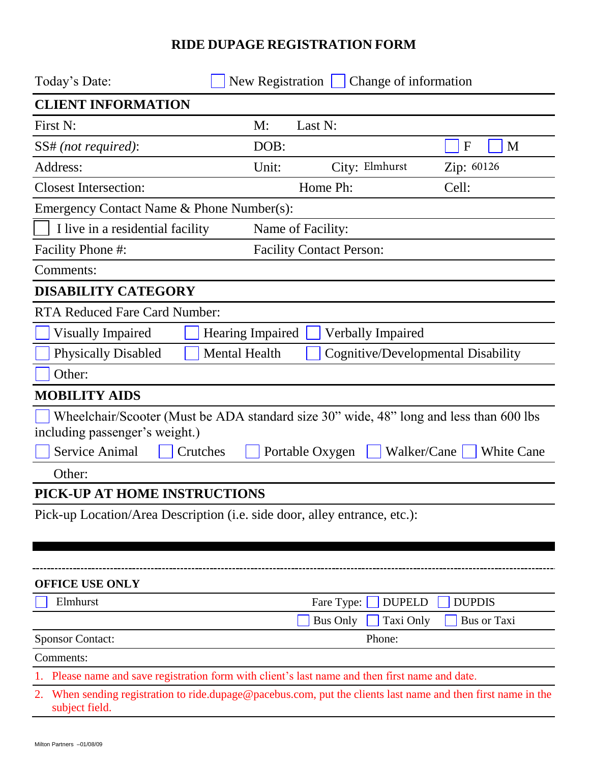## **RIDE DUPAGE REGISTRATION FORM**

| Today's Date:                                                                                                                      |                                                     | New Registration $\Box$ Change of information |                    |  |
|------------------------------------------------------------------------------------------------------------------------------------|-----------------------------------------------------|-----------------------------------------------|--------------------|--|
| <b>CLIENT INFORMATION</b>                                                                                                          |                                                     |                                               |                    |  |
| First N:                                                                                                                           | Last N:<br>M:                                       |                                               |                    |  |
| SS# (not required):                                                                                                                | DOB:                                                |                                               | M<br>$\mathbf{F}$  |  |
| Address:                                                                                                                           | Unit:                                               | City: Elmhurst                                | Zip: 60126         |  |
| <b>Closest Intersection:</b>                                                                                                       |                                                     | Home Ph:                                      | Cell:              |  |
| Emergency Contact Name & Phone Number(s):                                                                                          |                                                     |                                               |                    |  |
| I live in a residential facility<br>Name of Facility:                                                                              |                                                     |                                               |                    |  |
| Facility Phone #:                                                                                                                  | <b>Facility Contact Person:</b>                     |                                               |                    |  |
| Comments:                                                                                                                          |                                                     |                                               |                    |  |
| <b>DISABILITY CATEGORY</b>                                                                                                         |                                                     |                                               |                    |  |
| <b>RTA Reduced Fare Card Number:</b>                                                                                               |                                                     |                                               |                    |  |
| <b>Visually Impaired</b>                                                                                                           | <b>Verbally Impaired</b><br><b>Hearing Impaired</b> |                                               |                    |  |
| <b>Mental Health</b><br><b>Physically Disabled</b><br>Cognitive/Developmental Disability                                           |                                                     |                                               |                    |  |
| Other:                                                                                                                             |                                                     |                                               |                    |  |
| <b>MOBILITY AIDS</b>                                                                                                               |                                                     |                                               |                    |  |
| Wheelchair/Scooter (Must be ADA standard size 30" wide, 48" long and less than 600 lbs                                             |                                                     |                                               |                    |  |
| including passenger's weight.)                                                                                                     |                                                     |                                               |                    |  |
| Service Animal<br>Crutches                                                                                                         | Portable Oxygen                                     | Walker/Cane                                   | <b>White Cane</b>  |  |
| Other:                                                                                                                             |                                                     |                                               |                    |  |
| PICK-UP AT HOME INSTRUCTIONS                                                                                                       |                                                     |                                               |                    |  |
| Pick-up Location/Area Description (i.e. side door, alley entrance, etc.):                                                          |                                                     |                                               |                    |  |
|                                                                                                                                    |                                                     |                                               |                    |  |
|                                                                                                                                    |                                                     |                                               |                    |  |
| <b>OFFICE USE ONLY</b>                                                                                                             |                                                     |                                               |                    |  |
| Elmhurst                                                                                                                           |                                                     | Fare Type:<br><b>DUPELD</b>                   | <b>DUPDIS</b>      |  |
|                                                                                                                                    |                                                     | <b>Bus Only</b><br>Taxi Only                  | <b>Bus or Taxi</b> |  |
| <b>Sponsor Contact:</b><br>Phone:                                                                                                  |                                                     |                                               |                    |  |
| Comments:                                                                                                                          |                                                     |                                               |                    |  |
| 1. Please name and save registration form with client's last name and then first name and date.                                    |                                                     |                                               |                    |  |
| When sending registration to ride.dupage@pacebus.com, put the clients last name and then first name in the<br>2.<br>subject field. |                                                     |                                               |                    |  |